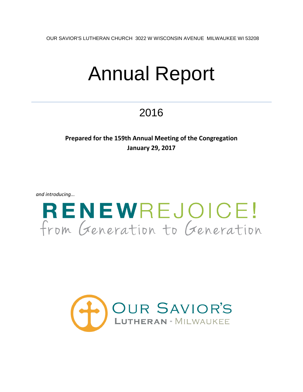OUR SAVIOR'S LUTHERAN CHURCH 3022 W WISCONSIN AVENUE MILWAUKEE WI 53208

# Annual Report

# 2016

### **Prepared for the 159th Annual Meeting of the Congregation January 29, 2017**

*and introducing...*



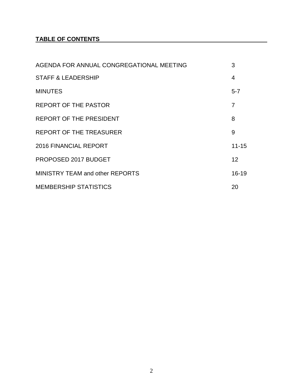### **TABLE OF CONTENTS**

| AGENDA FOR ANNUAL CONGREGATIONAL MEETING | 3              |
|------------------------------------------|----------------|
| <b>STAFF &amp; LEADERSHIP</b>            | 4              |
| <b>MINUTES</b>                           | $5 - 7$        |
| <b>REPORT OF THE PASTOR</b>              | $\overline{7}$ |
| <b>REPORT OF THE PRESIDENT</b>           | 8              |
| REPORT OF THE TREASURER                  | 9              |
| <b>2016 FINANCIAL REPORT</b>             | $11 - 15$      |
| PROPOSED 2017 BUDGET                     | 12             |
| <b>MINISTRY TEAM and other REPORTS</b>   | $16 - 19$      |
| <b>MEMBERSHIP STATISTICS</b>             | 20             |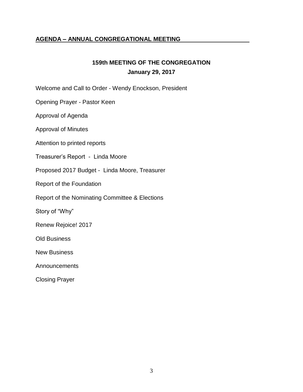### **AGENDA – ANNUAL CONGREGATIONAL MEETING**

### **159th MEETING OF THE CONGREGATION January 29, 2017**

Welcome and Call to Order - Wendy Enockson, President

Opening Prayer - Pastor Keen

Approval of Agenda

Approval of Minutes

Attention to printed reports

Treasurer's Report - Linda Moore

Proposed 2017 Budget - Linda Moore, Treasurer

Report of the Foundation

Report of the Nominating Committee & Elections

Story of "Why"

Renew Rejoice! 2017

Old Business

New Business

Announcements

Closing Prayer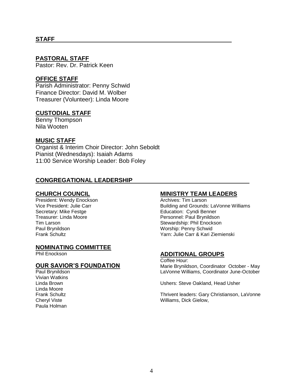### **STAFF**

### **PASTORAL STAFF**

Pastor: Rev. Dr. Patrick Keen

### **OFFICE STAFF**

Parish Administrator: Penny Schwid Finance Director: David M. Wolber Treasurer (Volunteer): Linda Moore

### **CUSTODIAL STAFF**

Benny Thompson Nila Wooten

### **MUSIC STAFF**

Organist & Interim Choir Director: John Seboldt Pianist (Wednesdays): Isaiah Adams 11:00 Service Worship Leader: Bob Foley

### **CONGREGATIONAL LEADERSHIP**

### **CHURCH COUNCIL**

President: Wendy Enockson Vice President: Julie Carr Secretary: Mike Festge Treasurer: Linda Moore Tim Larson Paul Brynildson Frank Schultz

### **NOMINATING COMMITTEE**

Phil Enockson

### **OUR SAVIOR'S FOUNDATION**

Paul Brynildson Vivian Watkins Linda Brown Linda Moore Frank Schultz Cheryl Viste Paula Holman

### **MINISTRY TEAM LEADERS**

Archives: Tim Larson Building and Grounds: LaVonne Williams Education: Cyndi Benner Personnel: Paul Brynildson Stewardship: Phil Enockson Worship: Penny Schwid Yarn: Julie Carr & Kari Ziemienski

### **ADDITIONAL GROUPS**

Coffee Hour: Marie Brynildson, Coordinator October - May LaVonne Williams, Coordinator June-October

Ushers: Steve Oakland, Head Usher

Thrivent leaders: Gary Christianson, LaVonne Williams, Dick Gielow,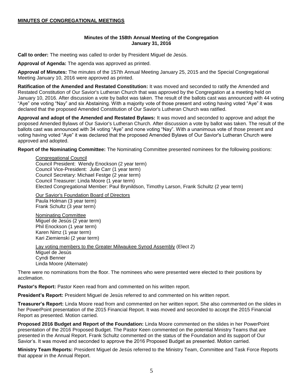### **MINUTES OF CONGREGATIONAL MEETINGS**

### **Minutes of the 158th Annual Meeting of the Congregation January 31, 2016**

**Call to order:** The meeting was called to order by President Miguel de Jesús.

**Approval of Agenda:** The agenda was approved as printed.

**Approval of Minutes:** The minutes of the 157th Annual Meeting January 25, 2015 and the Special Congregational Meeting January 10, 2016 were approved as printed.

**Ratification of the Amended and Restated Constitution:** It was moved and seconded to ratify the Amended and Restated Constitution of Our Savior's Lutheran Church that was approved by the Congregation at a meeting held on January 10, 2016. After discussion a vote by ballot was taken. The result of the ballots cast was announced with 44 voting "Aye" one voting "Nay" and six Abstaining. With a majority vote of those present and voting having voted "Aye" it was declared that the proposed Amended Constitution of Our Savior's Lutheran Church was ratified.

**Approval and adopt of the Amended and Restated Bylaws:** It was moved and seconded to approve and adopt the proposed Amended Bylaws of Our Savior's Lutheran Church. After discussion a vote by ballot was taken. The result of the ballots cast was announced with 34 voting "Aye" and none voting "Nay". With a unanimous vote of those present and voting having voted "Aye" it was declared that the proposed Amended Bylaws of Our Savior's Lutheran Church were approved and adopted.

**Report of the Nominating Committee:** The Nominating Committee presented nominees for the following positions:

Congregational Council Council President: Wendy Enockson (2 year term) Council Vice-President: Julie Carr (1 year term) Council Secretary: Michael Festge (2 year term) Council Treasurer: Linda Moore (1 year term) Elected Congregational Member: Paul Brynildson, Timothy Larson, Frank Schultz (2 year term)

Our Savior's Foundation Board of Directors Paula Holman (3 year term) Frank Schultz (3 year term)

Nominating Committee Miguel de Jesús (2 year term) Phil Enockson (1 year term) Karen Nimz (1 year term) Kari Ziemienski (2 year term)

Lay voting members to the Greater Milwaukee Synod Assembly (Elect 2) Miguel de Jesús Cyndi Benner Linda Moore (Alternate)

There were no nominations from the floor. The nominees who were presented were elected to their positions by acclimation.

**Pastor's Report:** Pastor Keen read from and commented on his written report.

**President's Report:** President Miguel de Jesús referred to and commented on his written report.

**Treasurer's Report:** Linda Moore read from and commented on her written report. She also commented on the slides in her PowerPoint presentation of the 2015 Financial Report. It was moved and seconded to accept the 2015 Financial Report as presented. Motion carried.

**Proposed 2016 Budget and Report of the Foundation:** Linda Moore commented on the slides in her PowerPoint presentation of the 2016 Proposed Budget. The Pastor Keen commented on the potential Ministry Teams that are presented in the Annual Report. Frank Schultz commented on the status of the Foundation and its support of Our Savior's. It was moved and seconded to approve the 2016 Proposed Budget as presented. Motion carried.

**Ministry Team Reports:** President Miguel de Jesús referred to the Ministry Team, Committee and Task Force Reports that appear in the Annual Report.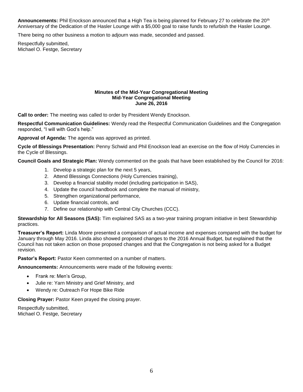**Announcements:** Phil Enockson announced that a High Tea is being planned for February 27 to celebrate the 20th Anniversary of the Dedication of the Hasler Lounge with a \$5,000 goal to raise funds to refurbish the Hasler Lounge.

There being no other business a motion to adjourn was made, seconded and passed.

Respectfully submitted, Michael O. Festge, Secretary

#### **Minutes of the Mid-Year Congregational Meeting Mid-Year Congregational Meeting June 26, 2016**

**Call to order:** The meeting was called to order by President Wendy Enockson.

**Respectful Communication Guidelines:** Wendy read the Respectful Communication Guidelines and the Congregation responded, "I will with God's help."

**Approval of Agenda:** The agenda was approved as printed.

**Cycle of Blessings Presentation:** Penny Schwid and Phil Enockson lead an exercise on the flow of Holy Currencies in the Cycle of Blessings.

**Council Goals and Strategic Plan:** Wendy commented on the goals that have been established by the Council for 2016:

- 1. Develop a strategic plan for the next 5 years,
- 2. Attend Blessings Connections (Holy Currencies training),
- 3. Develop a financial stability model (including participation in SAS),
- 4. Update the council handbook and complete the manual of ministry,
- 5. Strengthen organizational performance,
- 6. Update financial controls, and
- 7. Define our relationship with Central City Churches (CCC).

**Stewardship for All Seasons (SAS):** Tim explained SAS as a two-year training program initiative in best Stewardship practices.

**Treasurer's Report:** Linda Moore presented a comparison of actual income and expenses compared with the budget for January through May 2016. Linda also showed proposed changes to the 2016 Annual Budget, but explained that the Council has not taken action on those proposed changes and that the Congregation is not being asked for a Budget revision.

**Pastor's Report:** Pastor Keen commented on a number of matters.

**Announcements:** Announcements were made of the following events:

- Frank re: Men's Group,
- Julie re: Yarn Ministry and Grief Ministry, and
- Wendy re: Outreach For Hope Bike Ride

**Closing Prayer:** Pastor Keen prayed the closing prayer.

Respectfully submitted, Michael O. Festge, Secretary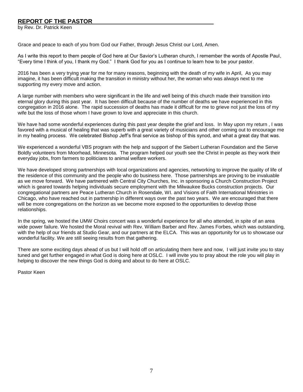### **REPORT OF THE PASTOR**

by Rev. Dr. Patrick Keen

Grace and peace to each of you from God our Father, through Jesus Christ our Lord, Amen.

As I write this report to them people of God here at Our Savior's Lutheran church, I remember the words of Apostle Paul, "Every time I think of you, I thank my God." I thank God for you as I continue to learn how to be your pastor.

2016 has been a very trying year for me for many reasons, beginning with the death of my wife in April, As you may imagine, it has been difficult making the transition in ministry without her, the woman who was always next to me supporting my every move and action.

A large number with members who were significant in the life and well being of this church made their transition into eternal glory during this past year. It has been difficult because of the number of deaths we have experienced in this congregation in 2016 alone. The rapid succession of deaths has made it difficult for me to grieve not just the loss of my wife but the loss of those whom I have grown to love and appreciate in this church.

We have had some wonderful experiences during this past year despite the grief and loss. In May upon my return , I was favored with a musical of healing that was superb with a great variety of musicians and other coming out to encourage me in my healing process. We celebrated Bishop Jeff's final service as bishop of this synod, and what a great day that was.

We experienced a wonderful VBS program with the help and support of the Siebert Lutheran Foundation and the Serve Boldly volunteers from Moorhead, Minnesota. The program helped our youth see the Christ in people as they work their everyday jobs, from farmers to politicians to animal welfare workers.

We have developed strong partnerships with local organizations and agencies, networking to improve the quality of life of the residence of this community and the people who do business here. Those partnerships are proving to be invaluable as we move forward. We have partnered with Central City Churches, Inc. in sponsoring a Church Construction Project which is geared towards helping individuals secure employment with the Milwaukee Bucks construction projects. Our congregational partners are Peace Lutheran Church in Rosendale, WI. and Visions of Faith International Ministries in Chicago, who have reached out in partnership in different ways over the past two years. We are encouraged that there will be more congregations on the horizon as we become more exposed to the opportunities to develop those relationships.

In the spring, we hosted the UMW Choirs concert was a wonderful experience for all who attended, in spite of an area wide power failure. We hosted the Moral revival with Rev. William Barber and Rev. James Forbes, which was outstanding, with the help of our friends at Studio Gear, and our partners at the ELCA. This was an opportunity for us to showcase our wonderful facility. We are still seeing results from that gathering.

There are some exciting days ahead of us but I will hold off on articulating them here and now, I will just invite you to stay tuned and get further engaged in what God is doing here at OSLC. I will invite you to pray about the role you will play in helping to discover the new things God is doing and about to do here at OSLC.

Pastor Keen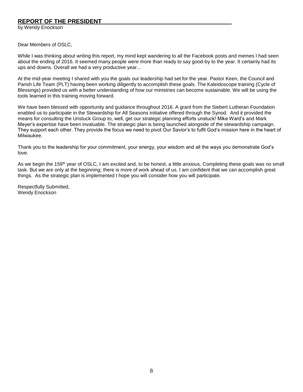### **REPORT OF THE PRESIDENT**

by Wendy Enockson

Dear Members of OSLC,

While I was thinking about writing this report, my mind kept wandering to all the Facebook posts and memes I had seen about the ending of 2016. It seemed many people were more than ready to say good-by to the year. It certainly had its ups and downs. Overall we had a very productive year...

At the mid-year meeting I shared with you the goals our leadership had set for the year. Pastor Keen, the Council and Parish Life Team (PLT) having been working diligently to accomplish these goals. The Kaleidoscope training (Cycle of Blessings) provided us with a better understanding of how our ministries can become sustainable. We will be using the tools learned in this training moving forward.

We have been blessed with opportunity and guidance throughout 2016. A grant from the Siebert Lutheran Foundation enabled us to participate in the Stewardship for All Seasons initiative offered through the Synod. And it provided the means for consulting the Unstuck Group to, well, get our strategic planning efforts unstuck! Mike Ward's and Mark Meyer's expertise have been invaluable. The strategic plan is being launched alongside of the stewardship campaign. They support each other. They provide the focus we need to pivot Our Savior's to fulfil God's mission here in the heart of Milwaukee.

Thank you to the leadership for your commitment, your energy, your wisdom and all the ways you demonstrate God's love.

As we begin the 159<sup>th</sup> year of OSLC, I am excited and, to be honest, a little anxious. Completing these goals was no small task. But we are only at the beginning; there is more of work ahead of us. I am confident that we can accomplish great things. As the strategic plan is implemented I hope you will consider how you will participate.

Respectfully Submitted, Wendy Enockson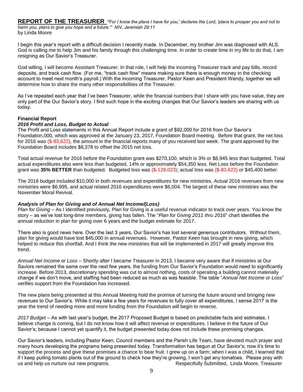**REPORT OF THE TREASURER** *"'For I know the plans I have for you,' declares the Lord, 'plans to prosper you and not to harm you, plans to give you hope and a future.'" NIV, Jeremiah 29:11* by Linda Moore

I begin this year's report with a difficult decision I recently made. In December, my brother Jim was diagnosed with ALS. God is calling me to help Jim and his family through this challenging time. In order to create time in my life to do that, I am resigning as Our Savior's Treasurer.

God willing, I will become Assistant Treasurer. In that role, I will help the incoming Treasurer track and pay bills, record deposits, and track cash flow. (For me, "track cash flow" means making sure there is enough money in the checking account to meet next month's payroll.) With the incoming Treasurer, Pastor Keen and President Wendy, together we will determine how to share the many other responsibilities of the Treasurer.

As I've repeated each year that I've been Treasurer, while the financial numbers that I share with you have value, they are only part of the Our Savior's story. I find such hope in the exciting changes that Our Savior's leaders are sharing with us today.

### **Financial Report**

#### *2016 Profit and Loss, Budget to Actual*

The Profit and Loss statements in this Annual Report include a grant of \$92,000 for 2016 from Our Savior's Foundation,000, which was approved at the January 23, 2017, Foundation Board meeting. Before that grant, the net loss for 2016 was (\$-83,622), the amount in the financial reports many of you received last week. The grant approved by the Foundation Board includes \$8,378 to offset the 2015 net loss.

Total actual revenue for 2016 before the Foundation grant was \$270,100, which is 3% or \$8,945 less than budgeted. Total actual expenditures also were less than budgeted, 14% or approximately \$54,350 less. Net Loss before the Foundation grant was **35% BETTER** than budgeted. Budgeted loss was (\$-129,023); actual loss was (\$-83,622) or \$45,400 better.

The 2016 budget included \$10,000 in both revenues and expenditures for new ministries. Actual 2016 revenues from new ministries were \$6,995, and actual related 2016 expenditures were \$6,004. The largest of these new ministries was the November Moral Revival.

### *Analysis of Plan for Giving and of Annual Net Income/(Loss)*

*Plan for Giving* – As I identified previously, Plan for Giving is a useful revenue indicator to track over years. You know the story – as we've lost long-time members, giving has fallen. The "*Plan for Giving 2011 thru 2016*" chart identifies the annual reduction in plan for giving over 6 years and the budget estimate for 2017.

There also is good news here. Over the last 3 years, Our Savior's has lost several generous contributors. Without them, plan for giving would have lost \$45,000 in annual revenues. However, Pastor Keen has brought in new giving, which helped to reduce this shortfall. And I think the new ministries that will be implemented in 2017 will greatly improve this trend.

*Annual Net Income or Loss* – Shortly after I became Treasurer in 2013, I became very aware that if ministries at Our Saviors remained the same over the next few years, the funding from Our Savior's Foundation would need to significantly increase. Before 2013, discretionary spending was cut to almost nothing, costs of operating a building cannot materially change if we don't move, and staffing had been reduced as much as was feasible. The table "*Annual Net Income or Loss*" verifies support from the Foundation has increased.

The new plans being presented at this Annual Meeting hold the promise of turning the future around and bringing new revenues to Our Savior's. While it may take a few years for revenues to fully cover all expenditures, I sense 2017 is the year the trend of needing more and more funding from the Foundation will begin to reverse.

*2017 Budget* – As with last year's budget, the 2017 Proposed Budget is based on predictable facts and estimates. I believe change is coming, but I do not know how it will affect revenue or expenditures. I believe in the future of Our Savior's; because I cannot yet quantify it, the budget presented today does not include these promising changes.

Our Savior's leaders, including Pastor Keen, Council members and the Parish Life Team, have devoted much prayer and many hours developing the programs being presented today. Transformation has begun at Our Savior's; now it's time to support the process and give these promises a chance to bear fruit. I grew up on a farm; when I was a child, I learned that if I keep pulling tomato plants out of the ground to check how they're growing, I won't get any tomatoes. Please pray with us and help us nurture our new programs. The example of the submergetarily Submitted, Linda Moore, Treasurer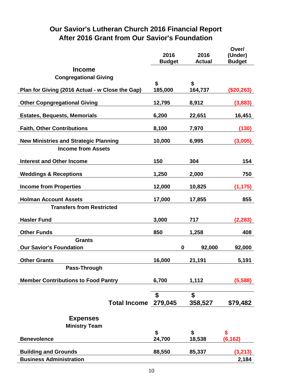### **Our Savior's Lutheran Church 2016 Financial Report After 2016 Grant from Our Savior's Foundation**

|                                                 | 2016          | 2016          | Over/<br>(Under) |
|-------------------------------------------------|---------------|---------------|------------------|
|                                                 | <b>Budget</b> | <b>Actual</b> | <b>Budget</b>    |
| <b>Income</b>                                   |               |               |                  |
| <b>Congregational Giving</b>                    | \$            | \$            |                  |
| Plan for Giving (2016 Actual - w Close the Gap) | 185,000       | 164,737       | (\$20,263)       |
| <b>Other Copngregational Giving</b>             | 12,795        | 8,912         | (3,883)          |
| <b>Estates, Bequests, Memorials</b>             | 6,200         | 22,651        | 16,451           |
| <b>Faith, Other Contributions</b>               | 8,100         | 7,970         | (130)            |
| <b>New Ministries and Strategic Planning</b>    | 10,000        | 6,995         | (3,005)          |
| <b>Income from Assets</b>                       |               |               |                  |
| <b>Interest and Other Income</b>                | 150           | 304           | 154              |
| <b>Weddings &amp; Receptions</b>                | 1,250         | 2,000         | 750              |
| <b>Income from Properties</b>                   | 12,000        | 10,825        | (1, 175)         |
| <b>Holman Account Assets</b>                    | 17,000        | 17,855        | 855              |
| <b>Transfers from Restricted</b>                |               |               |                  |
| <b>Hasler Fund</b>                              | 3,000         | 717           | (2, 283)         |
| <b>Other Funds</b>                              | 850           | 1,258         | 408              |
| <b>Grants</b>                                   |               |               |                  |
| <b>Our Savior's Foundation</b>                  | $\mathbf 0$   | 92,000        | 92,000           |
| <b>Other Grants</b>                             | 16,000        | 21,191        | 5,191            |
| Pass-Through                                    |               |               |                  |
| <b>Member Contributions to Food Pantry</b>      | 6,700         | 1,112         | (5,588)          |
|                                                 |               |               |                  |
| Total Income 279,045                            | \$            | \$<br>358,527 | \$79,482         |
|                                                 |               |               |                  |
| <b>Expenses</b>                                 |               |               |                  |
| <b>Ministry Team</b>                            |               |               |                  |
| <b>Benevolence</b>                              | \$<br>24,700  | \$<br>18,538  | \$<br>(6, 162)   |
| <b>Building and Grounds</b>                     | 88,550        | 85,337        | (3, 213)         |
| <b>Business Administration</b>                  |               |               | 2,184            |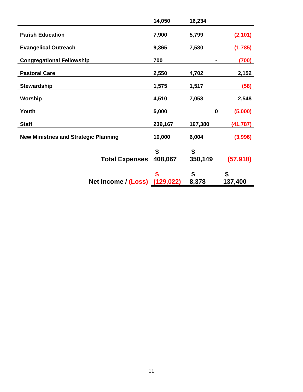|                                              | 14,050     | 16,234   |           |
|----------------------------------------------|------------|----------|-----------|
| <b>Parish Education</b>                      | 7,900      | 5,799    | (2, 101)  |
| <b>Evangelical Outreach</b>                  | 9,365      | 7,580    | (1,785)   |
| <b>Congregational Fellowship</b>             | 700        |          | (700)     |
| <b>Pastoral Care</b>                         | 2,550      | 4,702    | 2,152     |
| <b>Stewardship</b>                           | 1,575      | 1,517    | (58)      |
| Worship                                      | 4,510      | 7,058    | 2,548     |
| Youth                                        | 5,000      | $\bf{0}$ | (5,000)   |
| <b>Staff</b>                                 | 239,167    | 197,380  | (41, 787) |
| <b>New Ministries and Strategic Planning</b> | 10,000     | 6,004    | (3,996)   |
|                                              | \$         | \$       |           |
| <b>Total Expenses</b>                        | 408,067    | 350,149  | (57, 918) |
|                                              | \$         | \$       | \$        |
| Net Income / (Loss)                          | (129, 022) | 8,378    | 137,400   |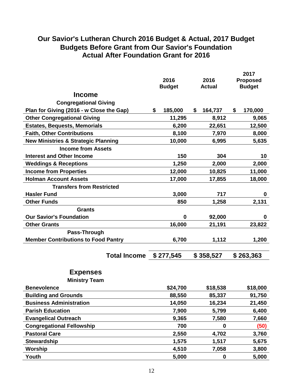### **Our Savior's Lutheran Church 2016 Budget & Actual, 2017 Budget Budgets Before Grant from Our Savior's Foundation Actual After Foundation Grant for 2016**

|                                                |                                |                |               |                 |    | 2017      |
|------------------------------------------------|--------------------------------|----------------|---------------|-----------------|----|-----------|
|                                                |                                | 2016<br>2016   |               | <b>Proposed</b> |    |           |
|                                                | <b>Budget</b><br><b>Actual</b> |                | <b>Budget</b> |                 |    |           |
| <b>Income</b>                                  |                                |                |               |                 |    |           |
| <b>Congregational Giving</b>                   |                                |                |               |                 |    |           |
| Plan for Giving (2016 - w Close the Gap)       | \$                             | 185,000        | \$            | 164,737         | \$ | 170,000   |
| <b>Other Congregational Giving</b>             |                                | 11,295         |               | 8,912           |    | 9,065     |
| <b>Estates, Bequests, Memorials</b>            |                                | 6,200          |               | 22,651          |    | 12,500    |
| <b>Faith, Other Contributions</b>              |                                | 8,100          |               | 7,970           |    | 8,000     |
| <b>New Ministries &amp; Strategic Planning</b> |                                | 10,000         |               | 6,995           |    | 5,635     |
| <b>Income from Assets</b>                      |                                |                |               |                 |    |           |
| <b>Interest and Other Income</b>               |                                | 150            |               | 304             |    | 10        |
| <b>Weddings &amp; Receptions</b>               |                                | 1,250          |               | 2,000           |    | 2,000     |
| <b>Income from Properties</b>                  |                                | 12,000         |               | 10,825          |    | 11,000    |
| <b>Holman Account Assets</b>                   |                                | 17,000         |               | 17,855          |    | 18,000    |
| <b>Transfers from Restricted</b>               |                                |                |               |                 |    |           |
| <b>Hasler Fund</b>                             |                                | 3,000          |               | 717             |    | 0         |
| <b>Other Funds</b>                             |                                | 850            |               | 1,258           |    | 2,131     |
| <b>Grants</b>                                  |                                |                |               |                 |    |           |
| <b>Our Savior's Foundation</b>                 |                                | $\mathbf 0$    |               | 92,000          |    | 0         |
| <b>Other Grants</b>                            |                                | 16,000         |               | 21,191          |    | 23,822    |
| Pass-Through                                   |                                |                |               |                 |    |           |
| <b>Member Contributions to Food Pantry</b>     |                                | 6,700          |               | 1,112           |    | 1,200     |
|                                                |                                |                |               |                 |    |           |
| Total Income \$277,545                         |                                |                |               | \$358,527       |    | \$263,363 |
| <b>Expenses</b>                                |                                |                |               |                 |    |           |
| <b>Ministry Team</b>                           |                                |                |               |                 |    |           |
| <b>Benevolence</b>                             |                                | \$24,700       |               | \$18,538        |    | \$18,000  |
| <b>Building and Grounds</b>                    |                                | 88,550         |               | 85,337          |    | 91,750    |
| <b>Business Administration</b>                 |                                | 14,050         |               | 16,234          |    | 21,450    |
| <b>Parish Education</b>                        |                                | 7,900          |               | 5,799           |    | 6,400     |
|                                                |                                | 9,365          |               |                 |    |           |
| <b>Evangelical Outreach</b>                    |                                |                |               | 7,580           |    | 7,660     |
| <b>Congregational Fellowship</b>               |                                | 700            |               | 0               |    | (50)      |
| <b>Pastoral Care</b>                           |                                | 2,550          |               | 4,702           |    | 3,760     |
| <b>Stewardship</b>                             |                                | 1,575          |               | 1,517           |    | 5,675     |
| Worship<br>Youth                               |                                | 4,510<br>5,000 |               | 7,058           |    | 3,800     |
|                                                |                                |                |               | $\mathbf 0$     |    | 5,000     |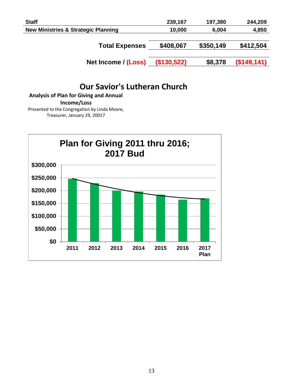| <b>Staff</b>                                   | 239,167     | 197,380   | 244,209     |
|------------------------------------------------|-------------|-----------|-------------|
| <b>New Ministries &amp; Strategic Planning</b> | 10,000      | 6,004     | 4,850       |
|                                                |             |           |             |
| <b>Total Expenses</b>                          | \$408,067   | \$350,149 | \$412,504   |
|                                                |             |           |             |
| Net Income / (Loss)                            | (\$130,522) | \$8,378   | (\$149,141) |

### **Our Savior's Lutheran Church**

**Analysis of Plan for Giving and Annual Income/Loss**

Presented to the Congregation by Linda Moore, Treasurer, January 29, 20017

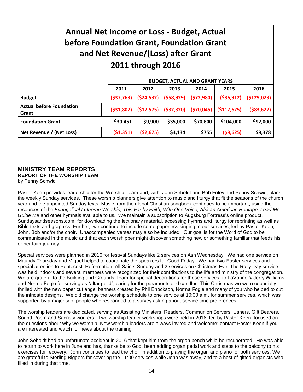## **Annual Net Income or Loss - Budget, Actual before Foundation Grant, Foundation Grant and Net Revenue/(Loss) after Grant 2011 through 2016**

|                                          | <b>BUDGET, ACTUAL AND GRANT YEARS</b> |                                     |            |           |                        |              |
|------------------------------------------|---------------------------------------|-------------------------------------|------------|-----------|------------------------|--------------|
|                                          | 2011                                  | 2012                                | 2013       | 2014      | 2015                   | 2016         |
| <b>Budget</b>                            | (537,763)                             | (524, 532)                          | (558, 929) | (572,980) | ( \$86, 912)           | (5129, 023)  |
| <b>Actual before Foundation</b><br>Grant |                                       | $(531,802)$ $(512,575)$ $(532,320)$ |            |           | (\$70,045) (\$112,625) | ( \$83, 622) |
| <b>Foundation Grant</b>                  | \$30,451                              | \$9,900                             | \$35,000   | \$70,800  | \$104,000              | \$92,000     |
| Net Revenue / (Net Loss)                 | (51,351)                              | (52, 675)                           | \$3,134    | \$755     | ( \$8,625)             | \$8,378      |

### **MINISTRY TEAM REPORTS**

**REPORT OF THE WORSHIP TEAM** by Penny Schwid

Pastor Keen provides leadership for the Worship Team and, with, John Seboldt and Bob Foley and Penny Schwid, plans the weekly Sunday services. These worship planners give attention to music and liturgy that fit the seasons of the church year and the appointed Sunday texts. Music from the global Christian songbook continues to be important, using the resources of the *Evangelical Lutheran Worship, This Far by Faith, With One Voice, African American Heritage, Lead Me Guide Me* and other hymnals available to us. We maintain a subscription to Augsburg Fortress's online product, Sundaysandseasons.com, for downloading the lectionary material, accessing hymns and liturgy for reprinting as well as Bible texts and graphics. Further, we continue to include some paperless singing in our services, led by Pastor Keen, John, Bob and/or the choir. Unaccompanied verses may also be included. Our goal is for the Word of God to be communicated in the music and that each worshipper might discover something new or something familiar that feeds his or her faith journey.

Special services were planned in 2016 for festival Sundays like 2 services on Ash Wednesday. We had one service on Maundy Thursday and Miguel helped to coordinate the speakers for Good Friday. We had two Easter services and special attention to Pentecost, Reformation, All Saints Sunday and 2 services on Christmas Eve. The Rally Day service was held indoors and several members were recognized for their contributions to the life and ministry of the congregation. We are grateful to the Building and Grounds Team for special decorations for these services, to LaVonne & Jerry Williams and Norma Fogle for serving as "altar guild", caring for the paraments and candles. This Christmas we were especially thrilled with the new paper cut angel banners created by Phil Enockson, Norma Fogle and many of you who helped to cut the intricate designs. We did change the worship schedule to one service at 10:00 a.m. for summer services, which was supported by a majority of people who responded to a survey asking about service time preferences.

The worship leaders are dedicated, serving as Assisting Ministers, Readers, Communion Servers, Ushers, Gift Bearers, Sound Room and Sacristy workers. Two worship leader workshops were held in 2016, led by Pastor Keen, focused on the questions about why we worship. New worship leaders are always invited and welcome; contact Pastor Keen if you are interested and watch for news about the training.

John Seboldt had an unfortunate accident in 2016 that kept him from the organ bench while he recuperated. He was able to return to work here in June and has, thanks be to God, been adding organ pedal work and steps to the balcony to his exercises for recovery. John continues to lead the choir in addition to playing the organ and piano for both services. We are grateful to Sterling Biggers for covering the 11:00 services while John was away, and to a host of gifted organists who filled in during that time.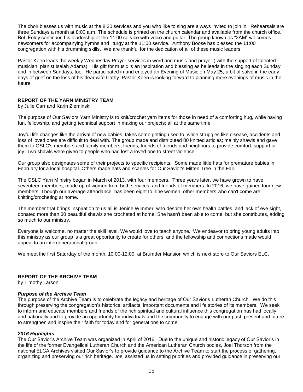The choir blesses us with music at the 8:30 services and you who like to sing are always invited to join in. Rehearsals are three Sundays a month at 8:00 a.m. The schedule is printed on the church calendar and available from the church office. Bob Foley continues his leadership at the 11:00 service with voice and guitar. The group known as "3AM" welcomes newcomers for accompanying hymns and liturgy at the 11:00 service. Anthony Boose has blessed the 11:00 congregation with his drumming skills. We are thankful for the dedication of all of these music leaders.

Pastor Keen leads the weekly Wednesday Prayer services in word and music and prayer ( with the support of talented musician, pianist Isaiah Adams). His gift for music is an inspiration and blessing as he leads in the singing each Sunday and in between Sundays, too. He participated in and enjoyed an Evening of Music on May 25, a bit of salve in the early days of grief on the loss of his dear wife Cathy. Pastor Keen is looking forward to planning more evenings of music in the future.

### **REPORT OF THE YARN MINISTRY TEAM**

by Julie Carr and Karin Zieminski

The purpose of Our Saviors Yarn Ministry is to knit/crochet yarn items for those in need of a comforting hug, while having fun, fellowship, and getting technical support in making our projects; all at the same time!

Joyful life changes like the arrival of new babies, takes some getting used to, while struggles like disease, accidents and loss of loved ones are difficult to deal with. The group made and distributed 80 knitted articles; mainly shawls and gave them to OSLC's members and family members, friends, friends of friends and neighbors to provide comfort, support or joy. Two shawls were given to people who had lost a loved one to street violence.

Our group also designates some of their projects to specific recipients. Some made little hats for premature babies in February for a local hospital. Others made hats and scarves for Our Savior's Mitten Tree in the Fall.

The OSLC Yarn Ministry began in March of 2013, with four members. Three years later, we have grown to have seventeen members, made up of women from both services, and friends of members. In 2016, we have gained four new members. Though our average attendance has been eight to nine women, other members who can't come are knitting/crocheting at home.

The member that brings inspiration to us all is Jenine Wimmer, who despite her own health battles, and lack of eye sight, donated more than 30 beautiful shawls she crocheted at home. She hasn't been able to come, but she contributes, adding so much to our ministry.

Everyone is welcome, no matter the skill level. We would love to teach anyone. We endeavor to bring young adults into this ministry as our group is a great opportunity to create for others, and the fellowship and connections made would appeal to an intergenerational group.

We meet the first Saturday of the month, 10:00-12:00, at Brumder Mansion which is next store to Our Saviors ELC.

### **REPORT OF THE ARCHIVE TEAM**

by Timothy Larson

### *Purpose of the Archive Team*

The purpose of the Archive Team is to celebrate the legacy and heritage of Our Savior's Lutheran Church. We do this through preserving the congregation's historical artifacts, important documents and life stories of its members. We seek to inform and educate members and friends of the rich spiritual and cultural influence this congregation has had locally and nationally and to provide an opportunity for individuals and the community to engage with our past, present and future to strengthen and inspire their faith for today and for generations to come.

### *2016 Highlights*

The Our Savior's Archive Team was organized in April of 2016. Due to the unique and historic legacy of Our Savior's in the life of the former Evangelical Lutheran Church and the American Lutheran Church bodies, Joel Thorson from the national ELCA Archives visited Our Savior's to provide guidance to the Archive Team to start the process of gathering, organizing and preserving our rich heritage. Joel assisted us in setting priorities and provided guidance in preserving our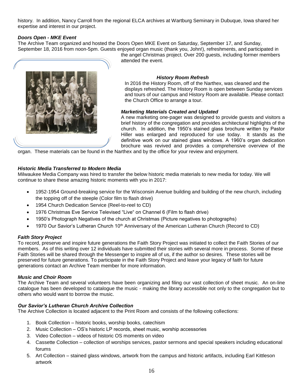history. In addition, Nancy Carroll from the regional ELCA archives at Wartburg Seminary in Dubuque, Iowa shared her expertise and interest in our project.

### *Doors Open - MKE Event*

The Archive Team organized and hosted the Doors Open MKE Event on Saturday, September 17, and Sunday, September 18, 2016 from noon-5pm. Guests enjoyed organ music (thank you, John!), refreshments, and participated in



the angel Christmas project. Over 200 guests, including former members attended the event.

### *History Room Refresh*

In 2016 the History Room, off of the Narthex, was cleaned and the displays refreshed. The History Room is open between Sunday services and tours of our campus and History Room are available. Please contact the Church Office to arrange a tour.

### *Marketing Materials Created and Updated*

A new marketing one-pager was designed to provide guests and visitors a brief history of the congregation and provides architectural highlights of the church. In addition, the 1950's stained glass brochure written by Pastor Hiller was enlarged and reproduced for use today. It stands as the definitive work on our stained glass windows. A 1960's organ dedication brochure was revived and provides a comprehensive overview of the

organ. These materials can be found in the Narthex and by the office for your review and enjoyment.

### *Historic Media Transferred to Modern Media*

Milwaukee Media Company was hired to transfer the below historic media materials to new media for today. We will continue to share these amazing historic moments with you in 2017:

- 1952-1954 Ground-breaking service for the Wisconsin Avenue building and building of the new church, including the topping off of the steeple (Color film to flash drive)
- 1954 Church Dedication Service (Reel-to-reel to CD)
- 1976 Christmas Eve Service Televised "Live" on Channel 6 (Film to flash drive)
- 1950's Photograph Negatives of the church at Christmas (Picture negatives to photographs)
- 1970 Our Savior's Lutheran Church 10<sup>th</sup> Anniversary of the American Lutheran Church (Record to CD)

### *Faith Story Project*

To record, preserve and inspire future generations the Faith Story Project was initiated to collect the Faith Stories of our members. As of this writing over 12 individuals have submitted their stories with several more in process. Some of these Faith Stories will be shared through the Messenger to inspire all of us, if the author so desires. These stories will be preserved for future generations. To participate in the Faith Story Project and leave your legacy of faith for future generations contact an Archive Team member for more information.

### *Music and Choir Room*

The Archive Team and several volunteers have been organizing and filing our vast collection of sheet music. An on-line catalogue has been developed to catalogue the music - making the library accessible not only to the congregation but to others who would want to borrow the music.

### *Our Savior's Lutheran Church Archive Collection*

The Archive Collection is located adjacent to the Print Room and consists of the following collections:

- 1. Book Collection historic books, worship books, catechism
- 2. Music Collection OS's historic LP records, sheet music, worship accessories
- 3. Video Collection videos of historic OS moments on video
- 4. Cassette Collection collection of worships services, pastor sermons and special speakers including educational forums
- 5. Art Collection stained glass windows, artwork from the campus and historic artifacts, including Earl Kittleson artwork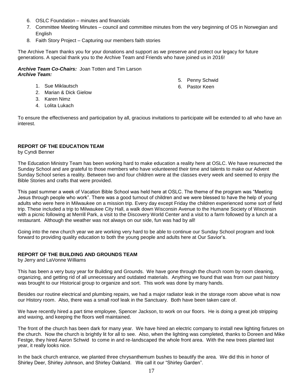- 6. OSLC Foundation minutes and financials
- 7. Committee Meeting Minutes council and committee minutes from the very beginning of OS in Norwegian and English

5. Penny Schwid 6. Pastor Keen

8. Faith Story Project – Capturing our members faith stories

The Archive Team thanks you for your donations and support as we preserve and protect our legacy for future generations. A special thank you to the Archive Team and Friends who have joined us in 2016!

*Archive Team Co-Chairs:* Joan Totten and Tim Larson *Archive Team:*

- 1. Sue Miklautsch
- 2. Marian & Dick Gielow
- 3. Karen Nimz
- 4. Lolita Lukach

To ensure the effectiveness and participation by all, gracious invitations to participate will be extended to all who have an interest.

### **REPORT OF THE EDUCATION TEAM**

by Cyndi Benner

The Education Ministry Team has been working hard to make education a reality here at OSLC. We have resurrected the Sunday School and are grateful to those members who have volunteered their time and talents to make our Advent Sunday School series a reality. Between two and four children were at the classes every week and seemed to enjoy the Bible Stories and crafts that were provided.

This past summer a week of Vacation Bible School was held here at OSLC. The theme of the program was "Meeting Jesus through people who work". There was a good turnout of children and we were blessed to have the help of young adults who were here in Milwaukee on a mission trip. Every day except Friday the children experienced some sort of field trip. These included a trip to Milwaukee City Hall, a walk down Wisconsin Avenue to the Humane Society of Wisconsin with a picnic following at Merrill Park, a visit to the Discovery World Center and a visit to a farm followed by a lunch at a restaurant. Although the weather was not always on our side, fun was had by all!

Going into the new church year we are working very hard to be able to continue our Sunday School program and look forward to providing quality education to both the young people and adults here at Our Savior's.

### **REPORT OF THE BUILDING AND GROUNDS TEAM**

by Jerry and LaVonne Williams

This has been a very busy year for Building and Grounds. We have gone through the church room by room cleaning, organizing, and getting rid of all unnecessary and outdated materials. Anything we found that was from our past history was brought to our Historical group to organize and sort. This work was done by many hands.

Besides our routine electrical and plumbing repairs, we had a major radiator leak in the storage room above what is now our History room. Also, there was a small roof leak in the Sanctuary. Both have been taken care of.

We have recently hired a part time employee, Spencer Jackson, to work on our floors. He is doing a great job stripping and waxing, and keeping the floors well maintained.

The front of the church has been dark for many year. We have hired an electric company to install new lighting fixtures on the church. Now the church is brightly lit for all to see. Also, when the lighting was completed, thanks to Doreen and Mike Festge, they hired Aaron Schwid to come in and re-landscaped the whole front area. With the new trees planted last year, it really looks nice.

In the back church entrance, we planted three chrysanthemum bushes to beautify the area. We did this in honor of Shirley Deer, Shirley Johnson, and Shirley Oakland. We call it our "Shirley Garden".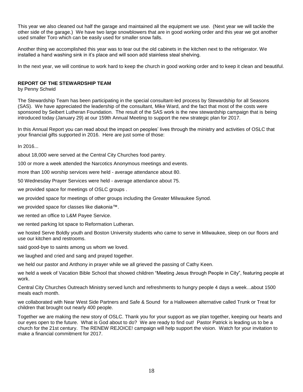This year we also cleaned out half the garage and maintained all the equipment we use. (Next year we will tackle the other side of the garage.) We have two large snowblowers that are in good working order and this year we got another used smaller Toro which can be easily used for smaller snow falls.

Another thing we accomplished this year was to tear out the old cabinets in the kitchen next to the refrigerator. We installed a hand washing sink in it's place and will soon add stainless steal shelving.

In the next year, we will continue to work hard to keep the church in good working order and to keep it clean and beautiful.

### **REPORT OF THE STEWARDSHIP TEAM**

by Penny Schwid

The Stewardship Team has been participating in the special consultant-led process by Stewardship for all Seasons (SAS). We have appreciated the leadership of the consultant, Mike Ward, and the fact that most of the costs were sponsored by Seibert Lutheran Foundation. The result of the SAS work is the new stewardship campaign that is being introduced today (January 29) at our 159th Annual Meeting to support the new strategic plan for 2017.

In this Annual Report you can read about the impact on peoples' lives through the ministry and activities of OSLC that your financial gifts supported in 2016. Here are just some of those:

In 2016...

about 18,000 were served at the Central City Churches food pantry.

100 or more a week attended the Narcotics Anonymous meetings and events.

more than 100 worship services were held - average attendance about 80.

50 Wednesday Prayer Services were held - average attendance about 75.

we provided space for meetings of OSLC groups .

we provided space for meetings of other groups including the Greater Milwaukee Synod.

we provided space for classes like diakonia™.

we rented an office to L&M Payee Service.

we rented parking lot space to Reformation Lutheran.

we hosted Serve Boldly youth and Boston University students who came to serve in Milwaukee, sleep on our floors and use our kitchen and restrooms.

said good-bye to saints among us whom we loved.

we laughed and cried and sang and prayed together.

we held our pastor and Anthony in prayer while we all grieved the passing of Cathy Keen.

we held a week of Vacation Bible School that showed children "Meeting Jesus through People in City", featuring people at work.

Central City Churches Outreach Ministry served lunch and refreshments to hungry people 4 days a week...about 1500 meals each month.

we collaborated with Near West Side Partners and Safe & Sound for a Halloween alternative called Trunk or Treat for children that brought out nearly 400 people.

Together we are making the new story of OSLC. Thank you for your support as we plan together, keeping our hearts and our eyes open to the future. What is God about to do? We are ready to find out! Pastor Patrick is leading us to be a church for the 21st century. The RENEW REJOICE! campaign will help support the vision. Watch for your invitation to make a financial commitment for 2017.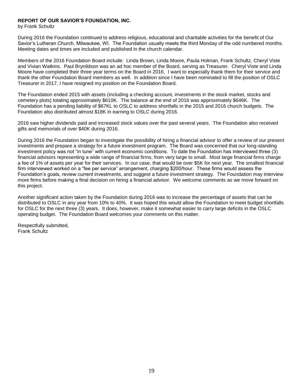### **REPORT OF OUR SAVIOR'S FOUNDATION, INC.**

by Frank Schultz

During 2016 the Foundation continued to address religious, educational and charitable activities for the benefit of Our Savior's Lutheran Church, Milwaukee, WI. The Foundation usually meets the third Monday of the odd numbered months. Meeting dates and times are included and published in the church calendar.

Members of the 2016 Foundation Board include: Linda Brown, Linda Moore, Paula Holman, Frank Schultz, Cheryl Viste and Vivian Watkins. Paul Brynildson was an ad hoc member of the Board, serving as Treasurer. Cheryl Viste and Linda Moore have completed their three year terms on the Board in 2016. I want to especially thank them for their service and thank the other Foundation Board members as well. In addition since I have been nominated to fill the position of OSLC Treasurer in 2017, I have resigned my position on the Foundation Board.

The Foundation ended 2015 with assets (including a checking account, investments in the stock market, stocks and cemetery plots) totaling approximately \$610K. The balance at the end of 2016 was approximately \$646K. The Foundation has a pending liability of \$67KL to OSLC to address shortfalls in the 2015 and 2016 church budgets. The Foundation also distributed almost \$18K in earning to OSLC during 2016.

2016 saw higher dividends paid and increased stock values over the past several years. The Foundation also received gifts and memorials of over \$40K during 2016.

During 2016 the Foundation began to investigate the possibility of hiring a financial advisor to offer a review of our present investments and prepare a strategy for a future investment program. The Board was concerned that our long-standing investment policy was not "in tune" with current economic conditions. To date the Foundation has interviewed three (3) financial advisors representing a wide range of financial firms, from very large to small. Most large financial firms charge a fee of 1% of assets per year for their services. In our case, that would be over \$5K for next year. The smallest financial firm interviewed worked on a "fee per service" arrangement, charging \$200/hour. These firms would assess the Foundation's goals, review current investments, and suggest a future investment strategy. The Foundation may interview more firms before making a final decision on hiring a financial advisor. We welcome comments as we move forward on this project.

Another significant action taken by the Foundation during 2016 was to increase the percentage of assets that can be distributed to OSLC in any year from 10% to 40%. It was hoped this would allow the Foundation to meet budget shortfalls for OSLC for the next three (3) years. It does, however, make it somewhat easier to carry large deficits in the OSLC operating budget. The Foundation Board welcomes your comments on this matter.

Respectfully submitted, Frank Schultz